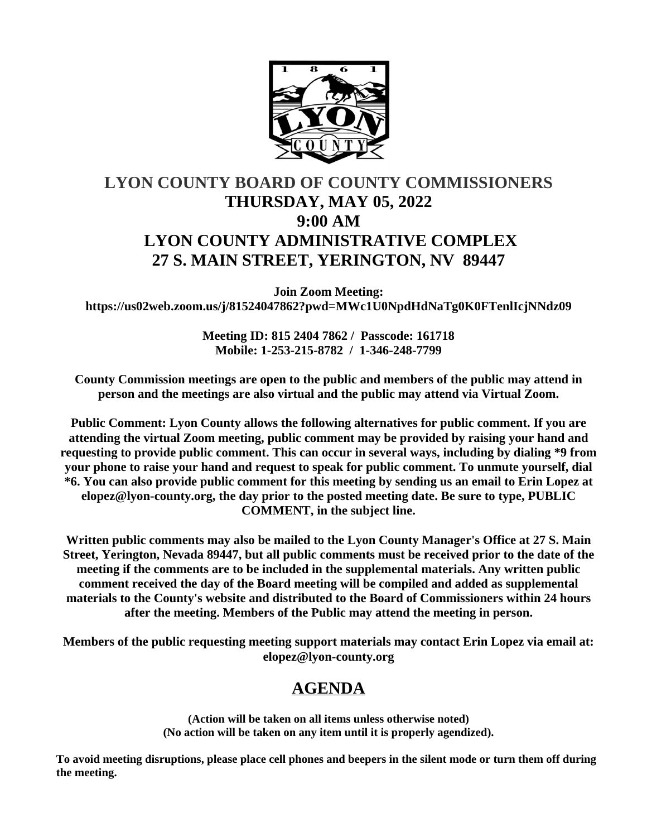

# **LYON COUNTY BOARD OF COUNTY COMMISSIONERS THURSDAY, MAY 05, 2022 9:00 AM LYON COUNTY ADMINISTRATIVE COMPLEX 27 S. MAIN STREET, YERINGTON, NV 89447**

**Join Zoom Meeting: https://us02web.zoom.us/j/81524047862?pwd=MWc1U0NpdHdNaTg0K0FTenlIcjNNdz09**

> **Meeting ID: 815 2404 7862 / Passcode: 161718 Mobile: 1-253-215-8782 / 1-346-248-7799**

**County Commission meetings are open to the public and members of the public may attend in person and the meetings are also virtual and the public may attend via Virtual Zoom.**

**Public Comment: Lyon County allows the following alternatives for public comment. If you are attending the virtual Zoom meeting, public comment may be provided by raising your hand and requesting to provide public comment. This can occur in several ways, including by dialing \*9 from your phone to raise your hand and request to speak for public comment. To unmute yourself, dial \*6. You can also provide public comment for this meeting by sending us an email to Erin Lopez at elopez@lyon-county.org, the day prior to the posted meeting date. Be sure to type, PUBLIC COMMENT, in the subject line.**

**Written public comments may also be mailed to the Lyon County Manager's Office at 27 S. Main Street, Yerington, Nevada 89447, but all public comments must be received prior to the date of the meeting if the comments are to be included in the supplemental materials. Any written public comment received the day of the Board meeting will be compiled and added as supplemental materials to the County's website and distributed to the Board of Commissioners within 24 hours after the meeting. Members of the Public may attend the meeting in person.**

**Members of the public requesting meeting support materials may contact Erin Lopez via email at: elopez@lyon-county.org**

## **AGENDA**

**(Action will be taken on all items unless otherwise noted) (No action will be taken on any item until it is properly agendized).**

**To avoid meeting disruptions, please place cell phones and beepers in the silent mode or turn them off during the meeting.**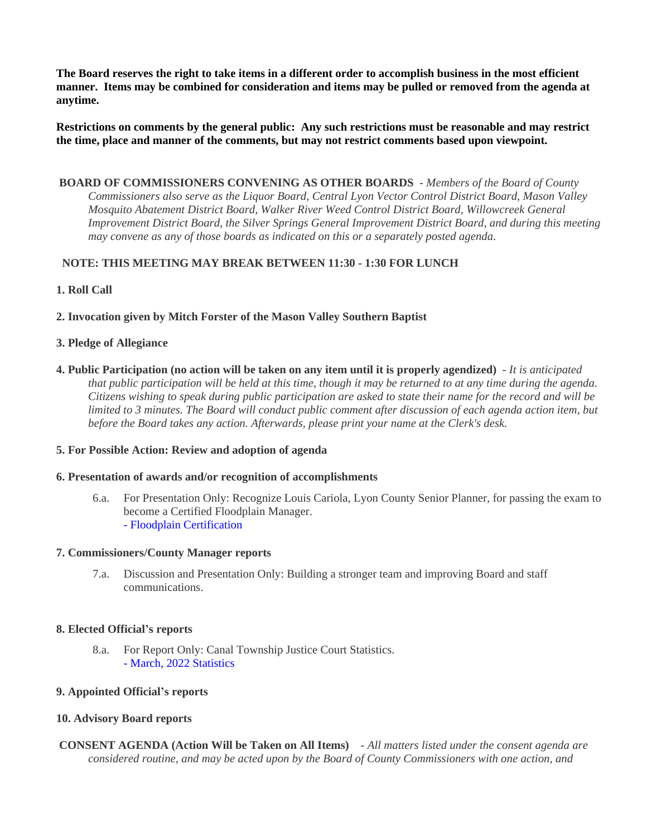**The Board reserves the right to take items in a different order to accomplish business in the most efficient manner. Items may be combined for consideration and items may be pulled or removed from the agenda at anytime.**

**Restrictions on comments by the general public: Any such restrictions must be reasonable and may restrict the time, place and manner of the comments, but may not restrict comments based upon viewpoint.**

 **BOARD OF COMMISSIONERS CONVENING AS OTHER BOARDS** - *Members of the Board of County Commissioners also serve as the Liquor Board, Central Lyon Vector Control District Board, Mason Valley Mosquito Abatement District Board, Walker River Weed Control District Board, Willowcreek General Improvement District Board, the Silver Springs General Improvement District Board, and during this meeting may convene as any of those boards as indicated on this or a separately posted agenda.*

## **NOTE: THIS MEETING MAY BREAK BETWEEN 11:30 - 1:30 FOR LUNCH**

## **1. Roll Call**

#### **2. Invocation given by Mitch Forster of the Mason Valley Southern Baptist**

#### **3. Pledge of Allegiance**

**4. Public Participation (no action will be taken on any item until it is properly agendized)** - *It is anticipated that public participation will be held at this time, though it may be returned to at any time during the agenda. Citizens wishing to speak during public participation are asked to state their name for the record and will be limited to 3 minutes. The Board will conduct public comment after discussion of each agenda action item, but before the Board takes any action. Afterwards, please print your name at the Clerk's desk.*

#### **5. For Possible Action: Review and adoption of agenda**

#### **6. Presentation of awards and/or recognition of accomplishments**

6.a. For Presentation Only: Recognize Louis Cariola, Lyon County Senior Planner, for passing the exam to become a Certified Floodplain Manager. [- Floodplain Certification](https://legistarweb-production.s3.amazonaws.com/uploads/attachment/pdf/1349811/Louis-Floodplain_Cert..pdf)

#### **7. Commissioners/County Manager reports**

7.a. Discussion and Presentation Only: Building a stronger team and improving Board and staff communications.

#### **8. Elected Official's reports**

8.a. For Report Only: Canal Township Justice Court Statistics. [- March, 2022 Statistics](https://legistarweb-production.s3.amazonaws.com/uploads/attachment/pdf/1334792/Statistics.pdf)

## **9. Appointed Official's reports**

## **10. Advisory Board reports**

 **CONSENT AGENDA (Action Will be Taken on All Items)** - *All matters listed under the consent agenda are considered routine, and may be acted upon by the Board of County Commissioners with one action, and*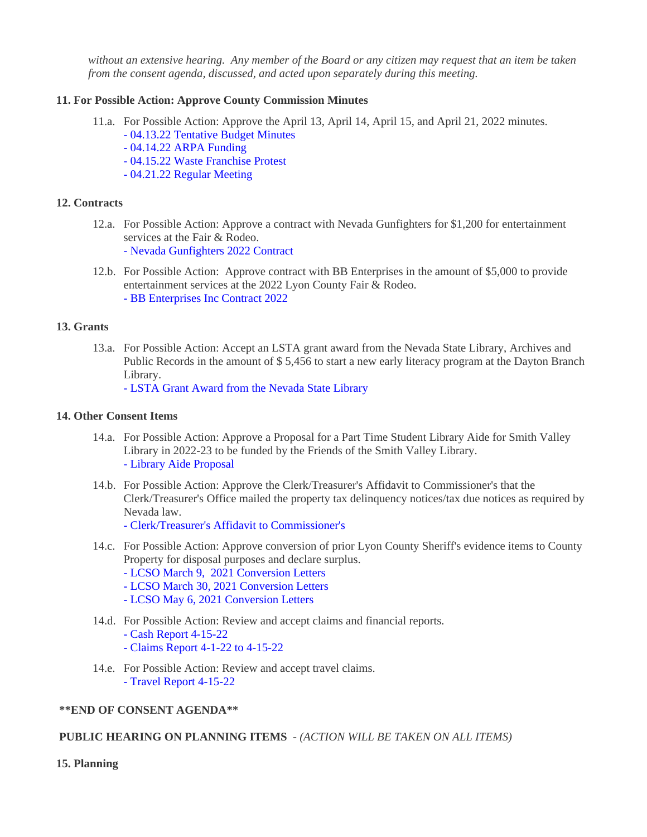*without an extensive hearing. Any member of the Board or any citizen may request that an item be taken from the consent agenda, discussed, and acted upon separately during this meeting.*

#### **11. For Possible Action: Approve County Commission Minutes**

- 11.a. For Possible Action: Approve the April 13, April 14, April 15, and April 21, 2022 minutes.
	- [04.13.22 Tentative Budget Minutes](https://legistarweb-production.s3.amazonaws.com/uploads/attachment/pdf/1351858/04.13.22_Tentative_Budget_Minutes-edited_SJ__1_.pdf)
	- [04.14.22 ARPA Funding](https://legistarweb-production.s3.amazonaws.com/uploads/attachment/pdf/1349766/04.14.22_comm_mtg_ARPA_Funding.pdf)
	- [04.15.22 Waste Franchise Protest](https://legistarweb-production.s3.amazonaws.com/uploads/attachment/pdf/1351850/04.15.22_comm_mtg_Watse_Franchise_Protest_Part_2.pdf)
	- [04.21.22 Regular Meeting](https://legistarweb-production.s3.amazonaws.com/uploads/attachment/pdf/1356229/04.21.22_comm_mtg.pdf)

## **12. Contracts**

- 12.a. For Possible Action: Approve a contract with Nevada Gunfighters for \$1,200 for entertainment services at the Fair & Rodeo.
	- [Nevada Gunfighters 2022 Contract](https://legistarweb-production.s3.amazonaws.com/uploads/attachment/pdf/1344679/Nevada_Gunfighters_2022_Contract.pdf)
- 12.b. For Possible Action: Approve contract with BB Enterprises in the amount of \$5,000 to provide entertainment services at the 2022 Lyon County Fair & Rodeo. [- BB Enterprises Inc Contract 2022](https://legistarweb-production.s3.amazonaws.com/uploads/attachment/pdf/1349019/BB_Enterprises_Inc_Contract_2022.pdf)

## **13. Grants**

13.a. For Possible Action: Accept an LSTA grant award from the Nevada State Library, Archives and Public Records in the amount of \$ 5,456 to start a new early literacy program at the Dayton Branch Library.

[- LSTA Grant Award from the Nevada State Library](https://legistarweb-production.s3.amazonaws.com/uploads/attachment/pdf/1324182/-_LSTA_2021_GIA.pdf)

## **14. Other Consent Items**

- 14.a. For Possible Action: Approve a Proposal for a Part Time Student Library Aide for Smith Valley Library in 2022-23 to be funded by the Friends of the Smith Valley Library. [- Library Aide Proposal](https://legistarweb-production.s3.amazonaws.com/uploads/attachment/pdf/1316168/-_Library_Aide_Proposal.pdf)
- 14.b. For Possible Action: Approve the Clerk/Treasurer's Affidavit to Commissioner's that the Clerk/Treasurer's Office mailed the property tax delinquency notices/tax due notices as required by Nevada law.
	- [Clerk/Treasurer's Affidavit to Commissioner's](https://legistarweb-production.s3.amazonaws.com/uploads/attachment/pdf/1346778/BOCCAFF.pdf)
- 14.c. For Possible Action: Approve conversion of prior Lyon County Sheriff's evidence items to County Property for disposal purposes and declare surplus.
	- [LCSO March 9, 2021 Conversion Letters](https://legistarweb-production.s3.amazonaws.com/uploads/attachment/pdf/1331385/March2021.pdf)
	- [LCSO March 30, 2021 Conversion Letters](https://legistarweb-production.s3.amazonaws.com/uploads/attachment/pdf/1331386/March22021.pdf)
	- [LCSO May 6, 2021 Conversion Letters](https://legistarweb-production.s3.amazonaws.com/uploads/attachment/pdf/1331387/May2021.pdf)
- 14.d. For Possible Action: Review and accept claims and financial reports.
	- [Cash Report 4-15-22](https://legistarweb-production.s3.amazonaws.com/uploads/attachment/pdf/1336872/Cash_Report_4-15-22.pdf)
	- [Claims Report 4-1-22 to 4-15-22](https://legistarweb-production.s3.amazonaws.com/uploads/attachment/pdf/1336871/Claims_Report_4-1-22_to_4-15-22.pdf)
- 14.e. For Possible Action: Review and accept travel claims.
	- [Travel Report 4-15-22](https://legistarweb-production.s3.amazonaws.com/uploads/attachment/pdf/1336879/Travel_Report_4-15-22.pdf)

## **\*\*END OF CONSENT AGENDA\*\***

## **PUBLIC HEARING ON PLANNING ITEMS** - *(ACTION WILL BE TAKEN ON ALL ITEMS)*

## **15. Planning**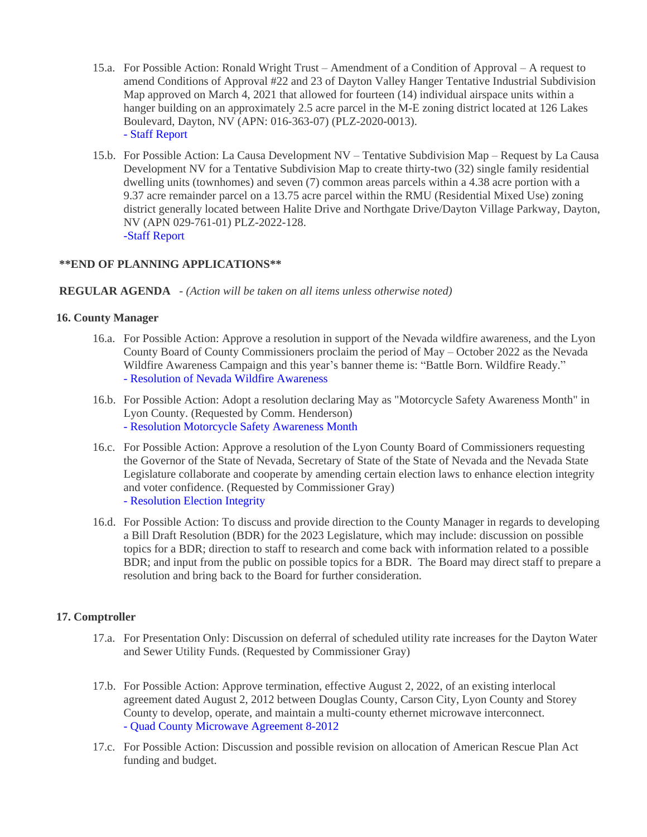- 15.a. For Possible Action: Ronald Wright Trust Amendment of a Condition of Approval A request to amend Conditions of Approval #22 and 23 of Dayton Valley Hanger Tentative Industrial Subdivision Map approved on March 4, 2021 that allowed for fourteen (14) individual airspace units within a hanger building on an approximately 2.5 acre parcel in the M-E zoning district located at 126 Lakes Boulevard, Dayton, NV (APN: 016-363-07) (PLZ-2020-0013). [- Staff Report](https://legistarweb-production.s3.amazonaws.com/uploads/attachment/pdf/1353173/Ronald_Wright-Amendment_to_Conditions_of_Approval_05.05.2022_BOC_Staff_Report_and_Backup.pdf)
- 15.b. For Possible Action: La Causa Development NV Tentative Subdivision Map Request by La Causa Development NV for a Tentative Subdivision Map to create thirty-two (32) single family residential dwelling units (townhomes) and seven (7) common areas parcels within a 4.38 acre portion with a 9.37 acre remainder parcel on a 13.75 acre parcel within the RMU (Residential Mixed Use) zoning district generally located between Halite Drive and Northgate Drive/Dayton Village Parkway, Dayton, NV (APN 029-761-01) PLZ-2022-128. [-Staff Report](https://legistarweb-production.s3.amazonaws.com/uploads/attachment/pdf/1349549/Gold_Counrty_Estates_Phase_5-BOC_05.05.2022_Staff_Report_and_Backup.pdf)

## **\*\*END OF PLANNING APPLICATIONS\*\***

## **REGULAR AGENDA** - *(Action will be taken on all items unless otherwise noted)*

#### **16. County Manager**

- 16.a. For Possible Action: Approve a resolution in support of the Nevada wildfire awareness, and the Lyon County Board of County Commissioners proclaim the period of May – October 2022 as the Nevada Wildfire Awareness Campaign and this year's banner theme is: "Battle Born. Wildfire Ready." [- Resolution of Nevada Wildfire Awareness](https://legistarweb-production.s3.amazonaws.com/uploads/attachment/pdf/1308808/2022_NWAC_Lyon_County_ProclamationTemplate__1_.pdf)
- 16.b. For Possible Action: Adopt a resolution declaring May as "Motorcycle Safety Awareness Month" in Lyon County. (Requested by Comm. Henderson) [- Resolution Motorcycle Safety Awareness Month](https://legistarweb-production.s3.amazonaws.com/uploads/attachment/pdf/1338473/MotorcycleSafetyAwarenessMonth.pdf)
- 16.c. For Possible Action: Approve a resolution of the Lyon County Board of Commissioners requesting the Governor of the State of Nevada, Secretary of State of the State of Nevada and the Nevada State Legislature collaborate and cooperate by amending certain election laws to enhance election integrity and voter confidence. (Requested by Commissioner Gray) [- Resolution Election Integrity](https://legistarweb-production.s3.amazonaws.com/uploads/attachment/pdf/1353739/election_integrity_resolution.pdf)
- 16.d. For Possible Action: To discuss and provide direction to the County Manager in regards to developing a Bill Draft Resolution (BDR) for the 2023 Legislature, which may include: discussion on possible topics for a BDR; direction to staff to research and come back with information related to a possible BDR; and input from the public on possible topics for a BDR. The Board may direct staff to prepare a resolution and bring back to the Board for further consideration.

## **17. Comptroller**

- 17.a. For Presentation Only: Discussion on deferral of scheduled utility rate increases for the Dayton Water and Sewer Utility Funds. (Requested by Commissioner Gray)
- 17.b. For Possible Action: Approve termination, effective August 2, 2022, of an existing interlocal agreement dated August 2, 2012 between Douglas County, Carson City, Lyon County and Storey County to develop, operate, and maintain a multi-county ethernet microwave interconnect. [- Quad County Microwave Agreement 8-2012](https://legistarweb-production.s3.amazonaws.com/uploads/attachment/pdf/1342125/Quad_County_Microwave_Agreement_8-16-12.pdf)
- 17.c. For Possible Action: Discussion and possible revision on allocation of American Rescue Plan Act funding and budget.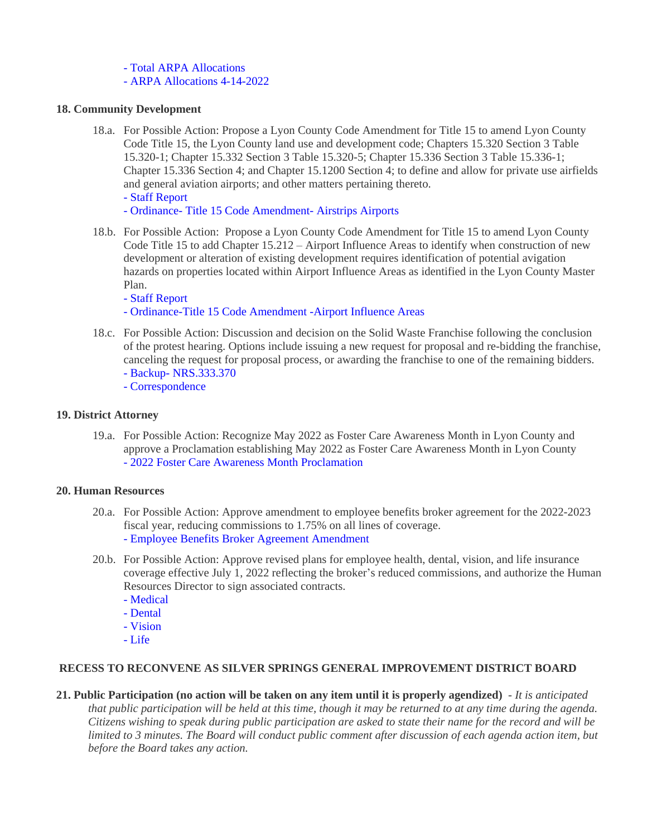- [Total ARPA Allocations](https://legistarweb-production.s3.amazonaws.com/uploads/attachment/pdf/1344875/ARPA_Allocations.pdf)
- [ARPA Allocations 4-14-2022](https://legistarweb-production.s3.amazonaws.com/uploads/attachment/pdf/1344874/ARPA_Allocations_as_of_4-14-2022.pdf)

## **18. Community Development**

- 18.a. For Possible Action: Propose a Lyon County Code Amendment for Title 15 to amend Lyon County Code Title 15, the Lyon County land use and development code; Chapters 15.320 Section 3 Table 15.320-1; Chapter 15.332 Section 3 Table 15.320-5; Chapter 15.336 Section 3 Table 15.336-1; Chapter 15.336 Section 4; and Chapter 15.1200 Section 4; to define and allow for private use airfields and general aviation airports; and other matters pertaining thereto. [- Staff Report](https://legistarweb-production.s3.amazonaws.com/uploads/attachment/pdf/1349607/General_Aviation_Airport_-_Private_Use_Airstrip__2__BOC_05.05.2022.pdf)
	- [Ordinance- Title 15 Code Amendment- Airstrips Airports](https://legistarweb-production.s3.amazonaws.com/uploads/attachment/pdf/1349608/Ord_Title_15_Land_Use___Development_Code_Amendments_Airstrips_Airports_2022_PC_Draft.pdf)
- 18.b. For Possible Action: Propose a Lyon County Code Amendment for Title 15 to amend Lyon County Code Title 15 to add Chapter 15.212 – Airport Influence Areas to identify when construction of new development or alteration of existing development requires identification of potential avigation hazards on properties located within Airport Influence Areas as identified in the Lyon County Master Plan.
	- [Staff Report](https://legistarweb-production.s3.amazonaws.com/uploads/attachment/pdf/1349573/ZTA_Airport_Influence_Areas-_BOC_05.05.2022_Staff_Report.pdf)
	- [Ordinance-Title 15 Code Amendment -Airport Influence Areas](https://legistarweb-production.s3.amazonaws.com/uploads/attachment/pdf/1349574/Ord_Title_15_Land_Use___Development_Code_Amendment_Airport_Influence_Areas_05.05.2022_BOC_Draft.pdf)
- 18.c. For Possible Action: Discussion and decision on the Solid Waste Franchise following the conclusion of the protest hearing. Options include issuing a new request for proposal and re-bidding the franchise, canceling the request for proposal process, or awarding the franchise to one of the remaining bidders.
	- [Backup- NRS.333.370](https://legistarweb-production.s3.amazonaws.com/uploads/attachment/pdf/1349782/-_Backup_NRS.333.370.pdf)
	- [Correspondence](https://legistarweb-production.s3.amazonaws.com/uploads/attachment/pdf/1352737/doc15463020220427135559.pdf)

## **19. District Attorney**

19.a. For Possible Action: Recognize May 2022 as Foster Care Awareness Month in Lyon County and approve a Proclamation establishing May 2022 as Foster Care Awareness Month in Lyon County [- 2022 Foster Care Awareness Month Proclamation](https://legistarweb-production.s3.amazonaws.com/uploads/attachment/pdf/1354464/2022_Foster_Care_Awareness_Month.pdf)

## **20. Human Resources**

- 20.a. For Possible Action: Approve amendment to employee benefits broker agreement for the 2022-2023 fiscal year, reducing commissions to 1.75% on all lines of coverage. [- Employee Benefits Broker Agreement Amendment](https://legistarweb-production.s3.amazonaws.com/uploads/attachment/pdf/1352745/-_Employee_Benefits_Broker_Agreement_Amendment.pdf)
- 20.b. For Possible Action: Approve revised plans for employee health, dental, vision, and life insurance coverage effective July 1, 2022 reflecting the broker's reduced commissions, and authorize the Human Resources Director to sign associated contracts.
	- [Medical](https://legistarweb-production.s3.amazonaws.com/uploads/attachment/pdf/1354433/-_Medical.pdf)
	- [Dental](https://legistarweb-production.s3.amazonaws.com/uploads/attachment/pdf/1354434/-_Dental.pdf)
	- [Vision](https://legistarweb-production.s3.amazonaws.com/uploads/attachment/pdf/1354435/-_Vision.pdf)
	- [Life](https://legistarweb-production.s3.amazonaws.com/uploads/attachment/pdf/1354436/-_Life.pdf)

## **RECESS TO RECONVENE AS SILVER SPRINGS GENERAL IMPROVEMENT DISTRICT BOARD**

**21. Public Participation (no action will be taken on any item until it is properly agendized)** - *It is anticipated that public participation will be held at this time, though it may be returned to at any time during the agenda. Citizens wishing to speak during public participation are asked to state their name for the record and will be limited to 3 minutes. The Board will conduct public comment after discussion of each agenda action item, but before the Board takes any action.*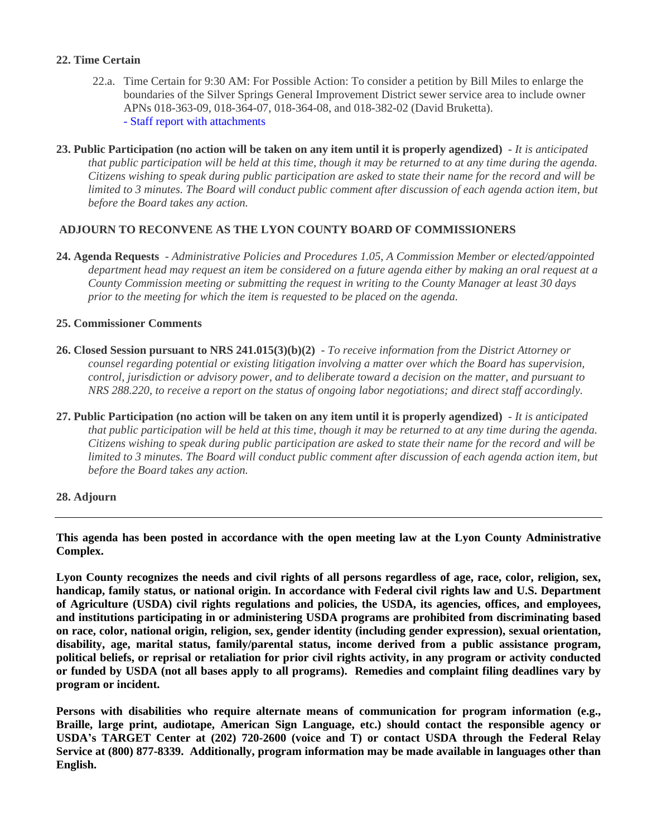## **22. Time Certain**

- 22.a. Time Certain for 9:30 AM: For Possible Action: To consider a petition by Bill Miles to enlarge the boundaries of the Silver Springs General Improvement District sewer service area to include owner APNs 018-363-09, 018-364-07, 018-364-08, and 018-382-02 (David Bruketta). [- Staff report with attachments](https://legistarweb-production.s3.amazonaws.com/uploads/attachment/pdf/1339179/Staff_Report_with_attachments.pdf)
- **23. Public Participation (no action will be taken on any item until it is properly agendized)** *It is anticipated that public participation will be held at this time, though it may be returned to at any time during the agenda. Citizens wishing to speak during public participation are asked to state their name for the record and will be limited to 3 minutes. The Board will conduct public comment after discussion of each agenda action item, but before the Board takes any action.*

## **ADJOURN TO RECONVENE AS THE LYON COUNTY BOARD OF COMMISSIONERS**

**24. Agenda Requests** - *Administrative Policies and Procedures 1.05, A Commission Member or elected/appointed department head may request an item be considered on a future agenda either by making an oral request at a County Commission meeting or submitting the request in writing to the County Manager at least 30 days prior to the meeting for which the item is requested to be placed on the agenda.*

#### **25. Commissioner Comments**

- **26. Closed Session pursuant to NRS 241.015(3)(b)(2)** *To receive information from the District Attorney or counsel regarding potential or existing litigation involving a matter over which the Board has supervision, control, jurisdiction or advisory power, and to deliberate toward a decision on the matter, and pursuant to NRS 288.220, to receive a report on the status of ongoing labor negotiations; and direct staff accordingly.*
- **27. Public Participation (no action will be taken on any item until it is properly agendized)** *It is anticipated*  that public participation will be held at this time, though it may be returned to at any time during the agenda. *Citizens wishing to speak during public participation are asked to state their name for the record and will be limited to 3 minutes. The Board will conduct public comment after discussion of each agenda action item, but before the Board takes any action.*

## **28. Adjourn**

**This agenda has been posted in accordance with the open meeting law at the Lyon County Administrative Complex.**

Lyon County recognizes the needs and civil rights of all persons regardless of age, race, color, religion, sex, **handicap, family status, or national origin. In accordance with Federal civil rights law and U.S. Department of Agriculture (USDA) civil rights regulations and policies, the USDA, its agencies, offices, and employees, and institutions participating in or administering USDA programs are prohibited from discriminating based on race, color, national origin, religion, sex, gender identity (including gender expression), sexual orientation, disability, age, marital status, family/parental status, income derived from a public assistance program,** political beliefs, or reprisal or retaliation for prior civil rights activity, in any program or activity conducted or funded by USDA (not all bases apply to all programs). Remedies and complaint filing deadlines vary by **program or incident.**

**Persons with disabilities who require alternate means of communication for program information (e.g., Braille, large print, audiotape, American Sign Language, etc.) should contact the responsible agency or USDA's TARGET Center at (202) 720-2600 (voice and T) or contact USDA through the Federal Relay Service at (800) 877-8339. Additionally, program information may be made available in languages other than English.**